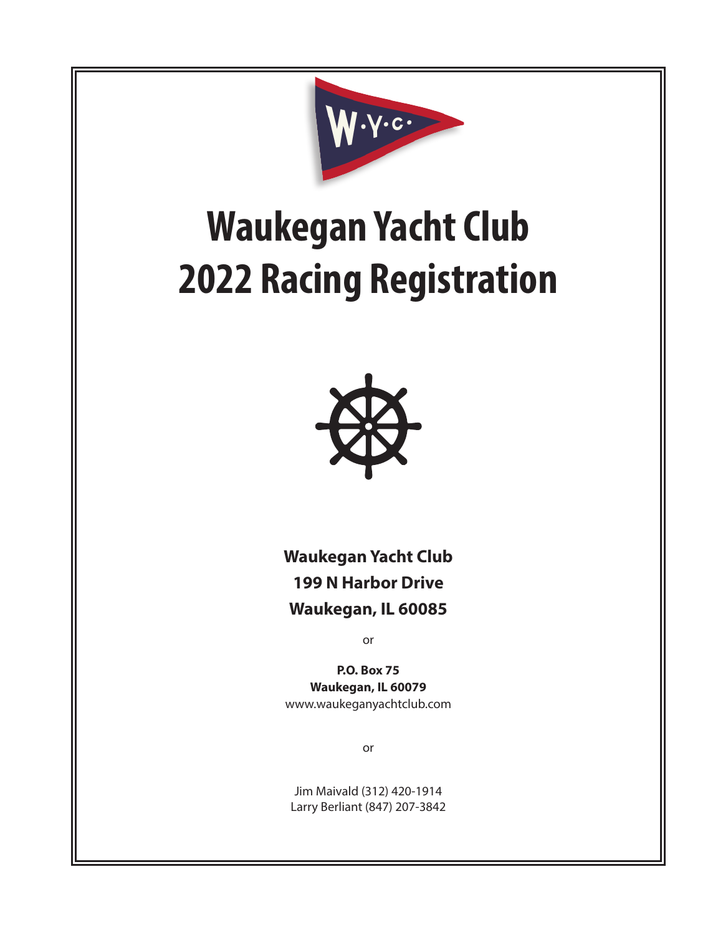

# **Waukegan Yacht Club 2022 Racing Registration**



**Waukegan Yacht Club 199 N Harbor Drive Waukegan, IL 60085**

or

**P.O. Box 75 Waukegan, IL 60079** www.waukeganyachtclub.com

or

Jim Maivald (312) 420-1914 Larry Berliant (847) 207-3842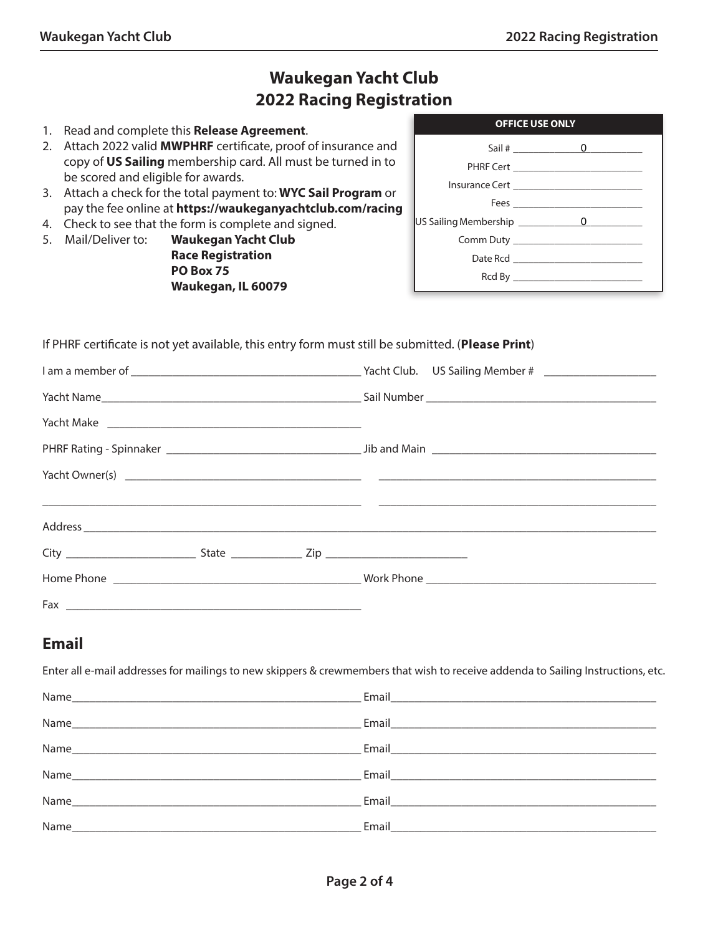# **Waukegan Yacht Club 2022 Racing Registration**

- 1. Read and complete this **Release Agreement**.
- 2. Attach 2022 valid **MWPHRF** certificate, proof of insurance and copy of **US Sailing** membership card. All must be turned in to be scored and eligible for awards.
- 3. Attach a check for the total payment to: **WYC Sail Program** or pay the fee online at **https://waukeganyachtclub.com/racing**
- 4. Check to see that the form is complete and signed.
- 5. Mail/Deliver to: **Waukegan Yacht Club Race Registration PO Box 75 Waukegan, IL 60079**

| <b>OFFICE USE ONLY</b> |
|------------------------|
|                        |
|                        |
|                        |
|                        |
|                        |
|                        |
|                        |
|                        |

#### If PHRF certificate is not yet available, this entry form must still be submitted. (**Please Print**)

### **Email**

Enter all e-mail addresses for mailings to new skippers & crewmembers that wish to receive addenda to Sailing Instructions, etc.

|      | Email <b>Executive Contract Contract Contract Contract Contract Contract Contract Contract Contract Contract Contract Contract Contract Contract Contract Contract Contract Contract Contract Contract Contract Contract Contrac</b> |
|------|--------------------------------------------------------------------------------------------------------------------------------------------------------------------------------------------------------------------------------------|
|      | Email and the contract of the contract of the contract of the contract of the contract of the contract of the                                                                                                                        |
| Name | Email <b>Exercise Service</b>                                                                                                                                                                                                        |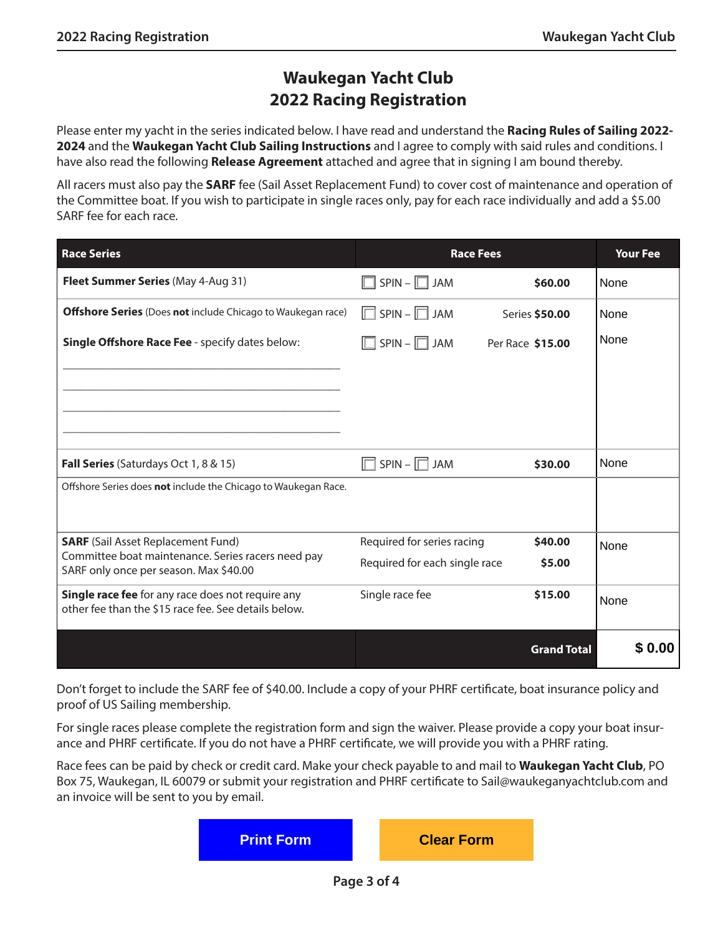# **Waukegan Yacht Club 2022 Racing Registration**

Please enter my yacht in the series indicated below. I have read and understand the **Racing Rules of Sailing 2022- 2024** and the **Waukegan Yacht Club Sailing Instructions** and I agree to comply with said rules and conditions. I have also read the following **Release Agreement** attached and agree that in signing I am bound thereby.

All racers must also pay the **SARF** fee (Sail Asset Replacement Fund) to cover cost of maintenance and operation of the Committee boat. If you wish to participate in single races only, pay for each race individually and add a \$5.00 SARF fee for each race.

| <b>Race Series</b>                                                                                        | <b>Race Fees</b>              |                    | <b>Your Fee</b> |
|-----------------------------------------------------------------------------------------------------------|-------------------------------|--------------------|-----------------|
| Fleet Summer Series (May 4-Aug 31)                                                                        | $SPIN - \Box$ JAM             | \$60.00            | None            |
| <b>Offshore Series</b> (Does not include Chicago to Waukegan race)                                        | $SPIN - \Box$ JAM<br>IП       | Series \$50.00     | None            |
| <b>Single Offshore Race Fee - specify dates below:</b>                                                    | $SPIN - \Box$ JAM             | Per Race \$15.00   | None            |
|                                                                                                           |                               |                    |                 |
|                                                                                                           |                               |                    |                 |
|                                                                                                           |                               |                    |                 |
| Fall Series (Saturdays Oct 1, 8 & 15)                                                                     | $SPIN - \Box$ JAM             | \$30.00            | None            |
| Offshore Series does not include the Chicago to Waukegan Race.                                            |                               |                    |                 |
|                                                                                                           |                               |                    |                 |
| <b>SARF</b> (Sail Asset Replacement Fund)                                                                 | Required for series racing    | \$40.00            | None            |
| Committee boat maintenance. Series racers need pay<br>SARF only once per season. Max \$40.00              | Required for each single race | \$5.00             |                 |
| Single race fee for any race does not require any<br>other fee than the \$15 race fee. See details below. | Single race fee               | \$15.00            | None            |
|                                                                                                           |                               |                    |                 |
|                                                                                                           |                               | <b>Grand Total</b> | \$ 0.00         |

Don't forget to include the SARF fee of \$40.00. Include a copy of your PHRF certificate, boat insurance policy and proof of US Sailing membership.

For single races please complete the registration form and sign the waiver. Please provide a copy your boat insurance and PHRF certificate. If you do not have a PHRF certificate, we will provide you with a PHRF rating.

Race fees can be paid by check or credit card. Make your check payable to and mail to **Waukegan Yacht Club**, PO Box 75, Waukegan, IL 60079 or submit your registration and PHRF certificate to Sail@waukeganyachtclub.com and an invoice will be sent to you by email.